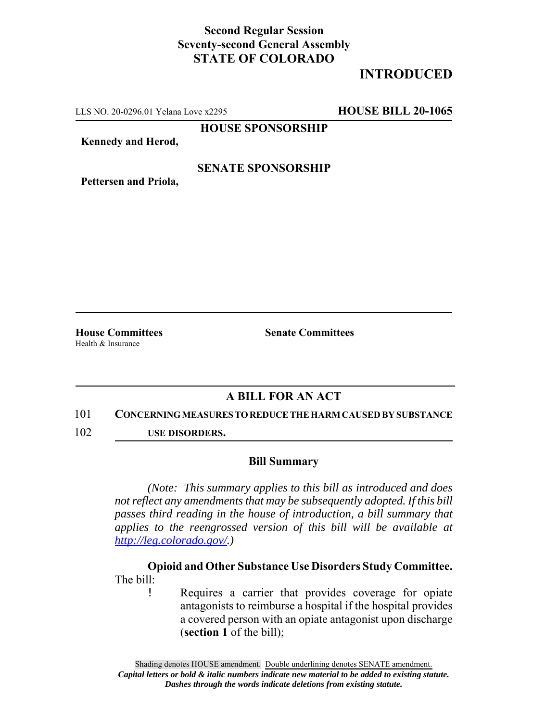# **Second Regular Session Seventy-second General Assembly STATE OF COLORADO**

# **INTRODUCED**

LLS NO. 20-0296.01 Yelana Love x2295 **HOUSE BILL 20-1065**

**HOUSE SPONSORSHIP**

**Kennedy and Herod,**

### **SENATE SPONSORSHIP**

**Pettersen and Priola,**

Health & Insurance

**House Committees Senate Committees** 

## **A BILL FOR AN ACT**

#### 101 **CONCERNING MEASURES TO REDUCE THE HARM CAUSED BY SUBSTANCE**

102 **USE DISORDERS.**

#### **Bill Summary**

*(Note: This summary applies to this bill as introduced and does not reflect any amendments that may be subsequently adopted. If this bill passes third reading in the house of introduction, a bill summary that applies to the reengrossed version of this bill will be available at http://leg.colorado.gov/.)*

**Opioid and Other Substance Use Disorders Study Committee.** The bill:

> ! Requires a carrier that provides coverage for opiate antagonists to reimburse a hospital if the hospital provides a covered person with an opiate antagonist upon discharge (**section 1** of the bill);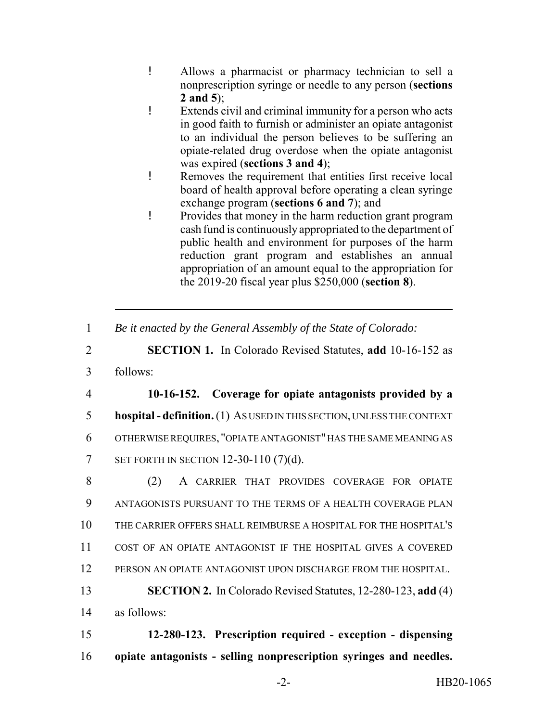- ! Allows a pharmacist or pharmacy technician to sell a nonprescription syringe or needle to any person (**sections 2 and 5**);
- ! Extends civil and criminal immunity for a person who acts in good faith to furnish or administer an opiate antagonist to an individual the person believes to be suffering an opiate-related drug overdose when the opiate antagonist was expired (**sections 3 and 4**);
- ! Removes the requirement that entities first receive local board of health approval before operating a clean syringe exchange program (**sections 6 and 7**); and
- ! Provides that money in the harm reduction grant program cash fund is continuously appropriated to the department of public health and environment for purposes of the harm reduction grant program and establishes an annual appropriation of an amount equal to the appropriation for the 2019-20 fiscal year plus \$250,000 (**section 8**).
- 1 *Be it enacted by the General Assembly of the State of Colorado:*
- 2 **SECTION 1.** In Colorado Revised Statutes, **add** 10-16-152 as
- 3 follows:

 **10-16-152. Coverage for opiate antagonists provided by a hospital - definition.** (1) AS USED IN THIS SECTION, UNLESS THE CONTEXT OTHERWISE REQUIRES, "OPIATE ANTAGONIST" HAS THE SAME MEANING AS SET FORTH IN SECTION 12-30-110 (7)(d).

 (2) A CARRIER THAT PROVIDES COVERAGE FOR OPIATE ANTAGONISTS PURSUANT TO THE TERMS OF A HEALTH COVERAGE PLAN THE CARRIER OFFERS SHALL REIMBURSE A HOSPITAL FOR THE HOSPITAL'S COST OF AN OPIATE ANTAGONIST IF THE HOSPITAL GIVES A COVERED PERSON AN OPIATE ANTAGONIST UPON DISCHARGE FROM THE HOSPITAL.

13 **SECTION 2.** In Colorado Revised Statutes, 12-280-123, **add** (4) 14 as follows:

15 **12-280-123. Prescription required - exception - dispensing** 16 **opiate antagonists - selling nonprescription syringes and needles.**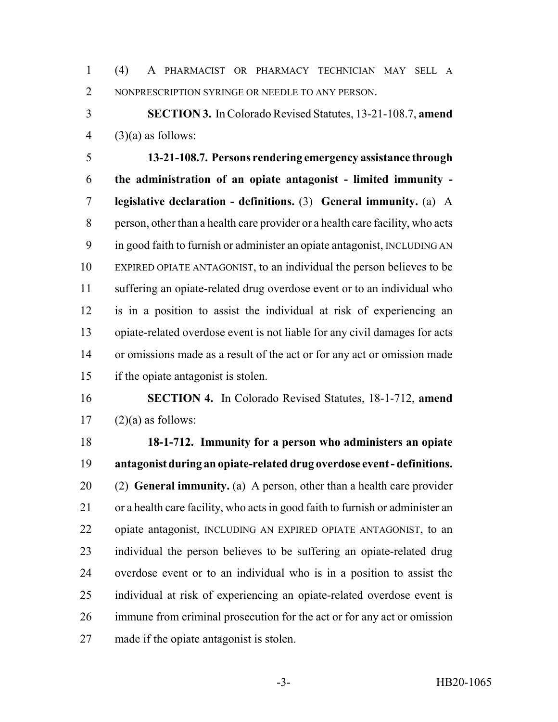(4) A PHARMACIST OR PHARMACY TECHNICIAN MAY SELL A NONPRESCRIPTION SYRINGE OR NEEDLE TO ANY PERSON.

 **SECTION 3.** In Colorado Revised Statutes, 13-21-108.7, **amend** (3)(a) as follows:

 **13-21-108.7. Persons rendering emergency assistance through the administration of an opiate antagonist - limited immunity - legislative declaration - definitions.** (3) **General immunity.** (a) A person, other than a health care provider or a health care facility, who acts in good faith to furnish or administer an opiate antagonist, INCLUDING AN EXPIRED OPIATE ANTAGONIST, to an individual the person believes to be suffering an opiate-related drug overdose event or to an individual who is in a position to assist the individual at risk of experiencing an opiate-related overdose event is not liable for any civil damages for acts or omissions made as a result of the act or for any act or omission made if the opiate antagonist is stolen.

 **SECTION 4.** In Colorado Revised Statutes, 18-1-712, **amend** 17  $(2)(a)$  as follows:

 **18-1-712. Immunity for a person who administers an opiate antagonist during an opiate-related drug overdose event - definitions.** (2) **General immunity.** (a) A person, other than a health care provider or a health care facility, who acts in good faith to furnish or administer an opiate antagonist, INCLUDING AN EXPIRED OPIATE ANTAGONIST, to an individual the person believes to be suffering an opiate-related drug overdose event or to an individual who is in a position to assist the individual at risk of experiencing an opiate-related overdose event is immune from criminal prosecution for the act or for any act or omission made if the opiate antagonist is stolen.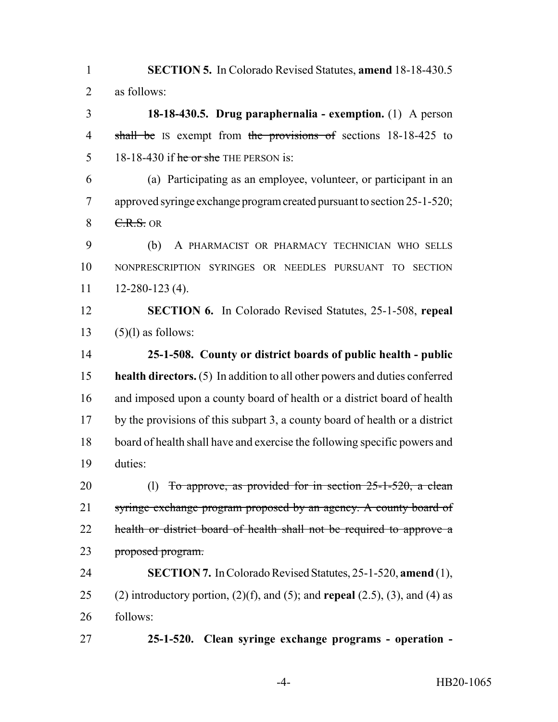**SECTION 5.** In Colorado Revised Statutes, **amend** 18-18-430.5 as follows:

 **18-18-430.5. Drug paraphernalia - exemption.** (1) A person 4 shall be IS exempt from the provisions of sections 18-18-425 to 5 18-18-430 if  $\frac{1}{2}$  he or she THE PERSON is:

 (a) Participating as an employee, volunteer, or participant in an approved syringe exchange program created pursuant to section 25-1-520;  $8 \quad \text{C.R.S. OR}$ 

 (b) A PHARMACIST OR PHARMACY TECHNICIAN WHO SELLS NONPRESCRIPTION SYRINGES OR NEEDLES PURSUANT TO SECTION  $11 \qquad 12 - 280 - 123(4)$ .

 **SECTION 6.** In Colorado Revised Statutes, 25-1-508, **repeal** 13  $(5)(1)$  as follows:

 **25-1-508. County or district boards of public health - public health directors.** (5) In addition to all other powers and duties conferred and imposed upon a county board of health or a district board of health by the provisions of this subpart 3, a county board of health or a district board of health shall have and exercise the following specific powers and duties:

20 (l) To approve, as provided for in section 25-1-520, a clean 21 syringe exchange program proposed by an agency. A county board of 22 health or district board of health shall not be required to approve a proposed program.

 **SECTION 7.** In Colorado Revised Statutes, 25-1-520, **amend** (1), (2) introductory portion, (2)(f), and (5); and **repeal** (2.5), (3), and (4) as follows:

**25-1-520. Clean syringe exchange programs - operation -**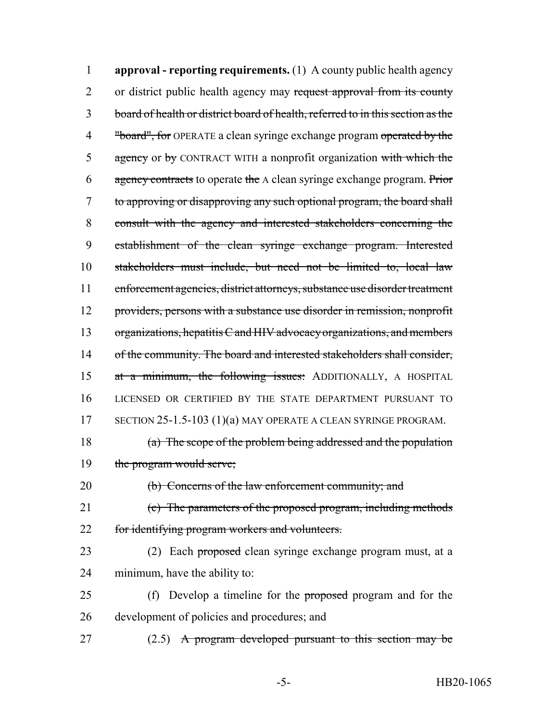**approval - reporting requirements.** (1) A county public health agency 2 or district public health agency may request approval from its county board of health or district board of health, referred to in this section as the 4 "board", for OPERATE a clean syringe exchange program operated by the 5 agency or by CONTRACT WITH a nonprofit organization with which the 6 agency contracts to operate the A clean syringe exchange program. Prior to approving or disapproving any such optional program, the board shall consult with the agency and interested stakeholders concerning the establishment of the clean syringe exchange program. Interested stakeholders must include, but need not be limited to, local law enforcement agencies, district attorneys, substance use disorder treatment providers, persons with a substance use disorder in remission, nonprofit organizations, hepatitis C and HIV advocacy organizations, and members 14 of the community. The board and interested stakeholders shall consider, 15 at a minimum, the following issues: ADDITIONALLY, A HOSPITAL LICENSED OR CERTIFIED BY THE STATE DEPARTMENT PURSUANT TO 17 SECTION 25-1.5-103 (1)(a) MAY OPERATE A CLEAN SYRINGE PROGRAM. (a) The scope of the problem being addressed and the population the program would serve; (b) Concerns of the law enforcement community; and (c) The parameters of the proposed program, including methods for identifying program workers and volunteers. 23 (2) Each proposed clean syringe exchange program must, at a minimum, have the ability to: 25 (f) Develop a timeline for the proposed program and for the

development of policies and procedures; and

27 (2.5) A program developed pursuant to this section may be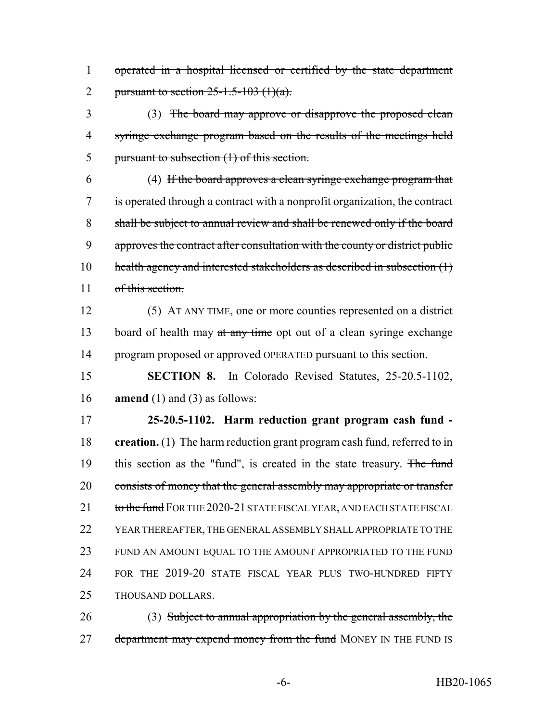operated in a hospital licensed or certified by the state department 2 pursuant to section  $25-1.5-103$  (1)(a).

 (3) The board may approve or disapprove the proposed clean syringe exchange program based on the results of the meetings held pursuant to subsection (1) of this section.

 (4) If the board approves a clean syringe exchange program that is operated through a contract with a nonprofit organization, the contract shall be subject to annual review and shall be renewed only if the board approves the contract after consultation with the county or district public 10 health agency and interested stakeholders as described in subsection (1) 11 of this section.

 (5) AT ANY TIME, one or more counties represented on a district 13 board of health may at any time opt out of a clean syringe exchange 14 program proposed or approved OPERATED pursuant to this section.

 **SECTION 8.** In Colorado Revised Statutes, 25-20.5-1102, **amend** (1) and (3) as follows:

 **25-20.5-1102. Harm reduction grant program cash fund - creation.** (1) The harm reduction grant program cash fund, referred to in 19 this section as the "fund", is created in the state treasury. The fund 20 consists of money that the general assembly may appropriate or transfer 21 to the fund FOR THE 2020-21 STATE FISCAL YEAR, AND EACH STATE FISCAL YEAR THEREAFTER, THE GENERAL ASSEMBLY SHALL APPROPRIATE TO THE FUND AN AMOUNT EQUAL TO THE AMOUNT APPROPRIATED TO THE FUND FOR THE 2019-20 STATE FISCAL YEAR PLUS TWO-HUNDRED FIFTY THOUSAND DOLLARS.

26 (3) Subject to annual appropriation by the general assembly, the 27 department may expend money from the fund MONEY IN THE FUND IS